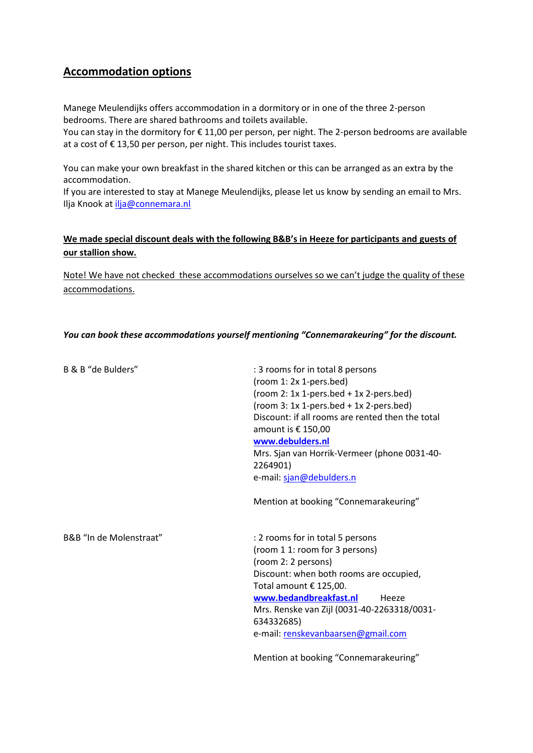## **Accommodation options**

Manege Meulendijks offers accommodation in a dormitory or in one of the three 2-person bedrooms. There are shared bathrooms and toilets available.

You can stay in the dormitory for € 11,00 per person, per night. The 2-person bedrooms are available at a cost of € 13,50 per person, per night. This includes tourist taxes.

You can make your own breakfast in the shared kitchen or this can be arranged as an extra by the accommodation.

If you are interested to stay at Manege Meulendijks, please let us know by sending an email to Mrs. Ilja Knook a[t ilja@connemara.nl](mailto:ilja@connemara.nl)

## **We made special discount deals with the following B&B's in Heeze for participants and guests of our stallion show.**

Note! We have not checked these accommodations ourselves so we can't judge the quality of these accommodations.

## *You can book these accommodations yourself mentioning "Connemarakeuring" for the discount.*

| B & B "de Bulders"      | : 3 rooms for in total 8 persons<br>(room 1: 2x 1-pers.bed)<br>$(room 2: 1x 1-pers.bed + 1x 2-pers.bed)$<br>(room $3: 1x 1-pers.$ bed + $1x 2-pers.$ bed)<br>Discount: if all rooms are rented then the total<br>amount is € 150,00<br>www.debulders.nl<br>Mrs. Sjan van Horrik-Vermeer (phone 0031-40-<br>2264901)<br>e-mail: sjan@debulders.n<br>Mention at booking "Connemarakeuring" |
|-------------------------|------------------------------------------------------------------------------------------------------------------------------------------------------------------------------------------------------------------------------------------------------------------------------------------------------------------------------------------------------------------------------------------|
| B&B "In de Molenstraat" | : 2 rooms for in total 5 persons<br>(room 1 1: room for 3 persons)<br>(room 2: 2 persons)<br>Discount: when both rooms are occupied,<br>Total amount € 125,00.<br>www.bedandbreakfast.nl<br>Heeze<br>Mrs. Renske van Zijl (0031-40-2263318/0031-<br>634332685)<br>e-mail: renskevanbaarsen@gmail.com<br>Mention at booking "Connemarakeuring"                                            |